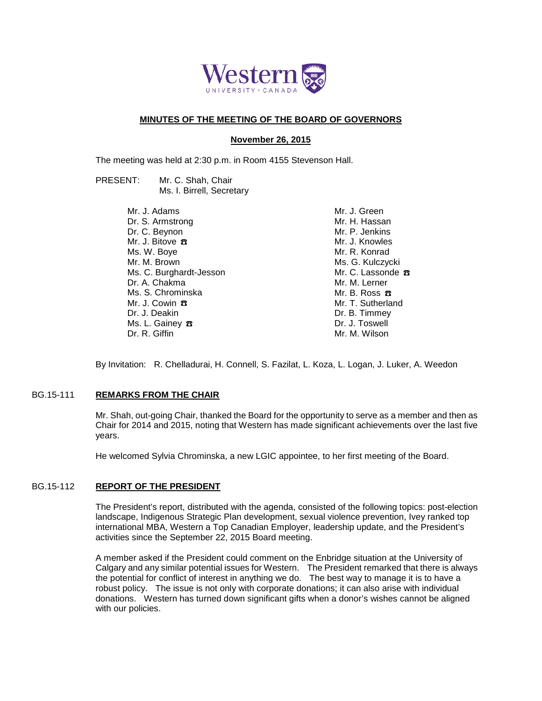

# **MINUTES OF THE MEETING OF THE BOARD OF GOVERNORS**

## **November 26, 2015**

The meeting was held at 2:30 p.m. in Room 4155 Stevenson Hall.

PRESENT: Mr. C. Shah, Chair Ms. I. Birrell, Secretary

> Mr. J. Adams Dr. S. Armstrong Dr. C. Beynon Mr. J. Bitove <del>ス</del> Ms. W. Boye Mr. M. Brown Ms. C. Burghardt-Jesson Dr. A. Chakma Ms. S. Chrominska Mr. J. Cowin ☎ Dr. J. Deakin Ms. L. Gainey  $\pi$ Dr. R. Giffin

Mr. J. Green Mr. H. Hassan Mr. P. Jenkins Mr. J. Knowles Mr. R. Konrad Ms. G. Kulczycki Mr. C. Lassonde <del>B</del> Mr. M. Lerner Mr. B. Ross  $\pi$ Mr. T. Sutherland Dr. B. Timmey Dr. J. Toswell Mr. M. Wilson

By Invitation: R. Chelladurai, H. Connell, S. Fazilat, L. Koza, L. Logan, J. Luker, A. Weedon

### BG.15-111 **REMARKS FROM THE CHAIR**

Mr. Shah, out-going Chair, thanked the Board for the opportunity to serve as a member and then as Chair for 2014 and 2015, noting that Western has made significant achievements over the last five years.

He welcomed Sylvia Chrominska, a new LGIC appointee, to her first meeting of the Board.

# BG.15-112 **REPORT OF THE PRESIDENT**

The President's report, distributed with the agenda, consisted of the following topics: post-election landscape, Indigenous Strategic Plan development, sexual violence prevention, Ivey ranked top international MBA, Western a Top Canadian Employer, leadership update, and the President's activities since the September 22, 2015 Board meeting.

A member asked if the President could comment on the Enbridge situation at the University of Calgary and any similar potential issues for Western. The President remarked that there is always the potential for conflict of interest in anything we do. The best way to manage it is to have a robust policy. The issue is not only with corporate donations; it can also arise with individual donations. Western has turned down significant gifts when a donor's wishes cannot be aligned with our policies.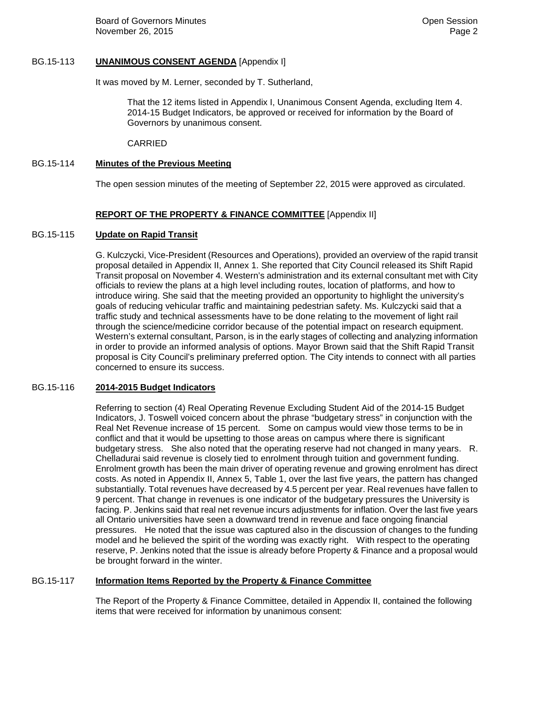# BG.15-113 **UNANIMOUS CONSENT AGENDA** [Appendix I]

It was moved by M. Lerner, seconded by T. Sutherland,

That the 12 items listed in Appendix I, Unanimous Consent Agenda, excluding Item 4. 2014-15 Budget Indicators, be approved or received for information by the Board of Governors by unanimous consent.

CARRIED

# BG.15-114 **Minutes of the Previous Meeting**

The open session minutes of the meeting of September 22, 2015 were approved as circulated.

# **REPORT OF THE PROPERTY & FINANCE COMMITTEE** [Appendix II]

### BG.15-115 **Update on Rapid Transit**

G. Kulczycki, Vice-President (Resources and Operations), provided an overview of the rapid transit proposal detailed in Appendix II, Annex 1. She reported that City Council released its Shift Rapid Transit proposal on November 4. Western's administration and its external consultant met with City officials to review the plans at a high level including routes, location of platforms, and how to introduce wiring. She said that the meeting provided an opportunity to highlight the university's goals of reducing vehicular traffic and maintaining pedestrian safety. Ms. Kulczycki said that a traffic study and technical assessments have to be done relating to the movement of light rail through the science/medicine corridor because of the potential impact on research equipment. Western's external consultant, Parson, is in the early stages of collecting and analyzing information in order to provide an informed analysis of options. Mayor Brown said that the Shift Rapid Transit proposal is City Council's preliminary preferred option. The City intends to connect with all parties concerned to ensure its success.

### BG.15-116 **2014-2015 Budget Indicators**

Referring to section (4) Real Operating Revenue Excluding Student Aid of the 2014-15 Budget Indicators, J. Toswell voiced concern about the phrase "budgetary stress" in conjunction with the Real Net Revenue increase of 15 percent. Some on campus would view those terms to be in conflict and that it would be upsetting to those areas on campus where there is significant budgetary stress. She also noted that the operating reserve had not changed in many years. R. Chelladurai said revenue is closely tied to enrolment through tuition and government funding. Enrolment growth has been the main driver of operating revenue and growing enrolment has direct costs. As noted in Appendix II, Annex 5, Table 1, over the last five years, the pattern has changed substantially. Total revenues have decreased by 4.5 percent per year. Real revenues have fallen to 9 percent. That change in revenues is one indicator of the budgetary pressures the University is facing. P. Jenkins said that real net revenue incurs adjustments for inflation. Over the last five years all Ontario universities have seen a downward trend in revenue and face ongoing financial pressures. He noted that the issue was captured also in the discussion of changes to the funding model and he believed the spirit of the wording was exactly right. With respect to the operating reserve, P. Jenkins noted that the issue is already before Property & Finance and a proposal would be brought forward in the winter.

# BG.15-117 **Information Items Reported by the Property & Finance Committee**

The Report of the Property & Finance Committee, detailed in Appendix II, contained the following items that were received for information by unanimous consent: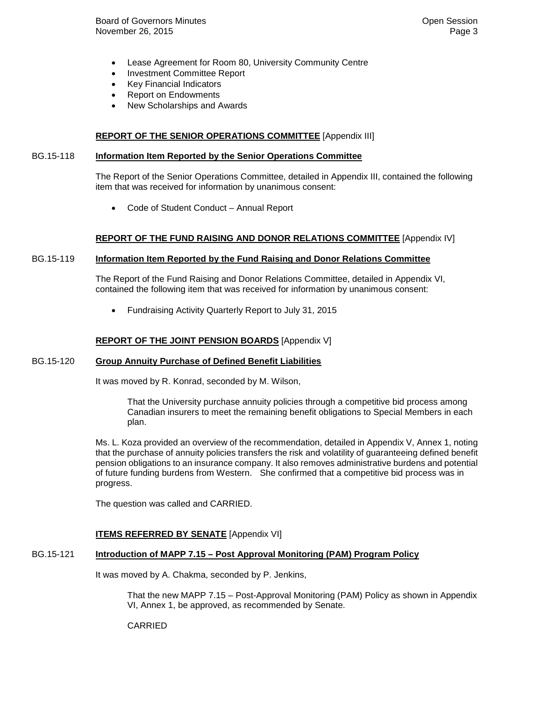- Lease Agreement for Room 80, University Community Centre
- Investment Committee Report
- Key Financial Indicators
- Report on Endowments
- New Scholarships and Awards

# **REPORT OF THE SENIOR OPERATIONS COMMITTEE** [Appendix III]

#### BG.15-118 **Information Item Reported by the Senior Operations Committee**

The Report of the Senior Operations Committee, detailed in Appendix III, contained the following item that was received for information by unanimous consent:

• Code of Student Conduct – Annual Report

#### **REPORT OF THE FUND RAISING AND DONOR RELATIONS COMMITTEE** [Appendix IV]

#### BG.15-119 **Information Item Reported by the Fund Raising and Donor Relations Committee**

The Report of the Fund Raising and Donor Relations Committee, detailed in Appendix VI, contained the following item that was received for information by unanimous consent:

• Fundraising Activity Quarterly Report to July 31, 2015

#### **REPORT OF THE JOINT PENSION BOARDS** [Appendix V]

#### BG.15-120 **Group Annuity Purchase of Defined Benefit Liabilities**

It was moved by R. Konrad, seconded by M. Wilson,

That the University purchase annuity policies through a competitive bid process among Canadian insurers to meet the remaining benefit obligations to Special Members in each plan.

Ms. L. Koza provided an overview of the recommendation, detailed in Appendix V, Annex 1, noting that the purchase of annuity policies transfers the risk and volatility of guaranteeing defined benefit pension obligations to an insurance company. It also removes administrative burdens and potential of future funding burdens from Western. She confirmed that a competitive bid process was in progress.

The question was called and CARRIED.

#### **ITEMS REFERRED BY SENATE** [Appendix VI]

# BG.15-121 **Introduction of MAPP 7.15 – Post Approval Monitoring (PAM) Program Policy**

It was moved by A. Chakma, seconded by P. Jenkins,

That the new MAPP 7.15 – Post-Approval Monitoring (PAM) Policy as shown in Appendix VI, Annex 1, be approved, as recommended by Senate.

### CARRIED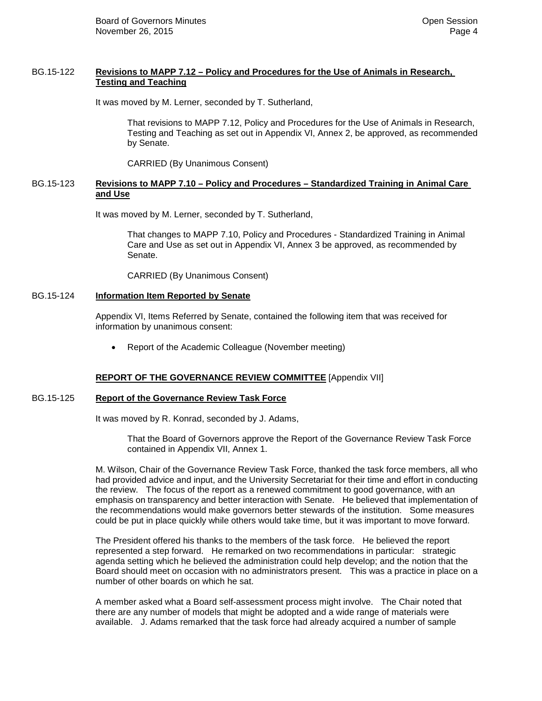### BG.15-122 **Revisions to MAPP 7.12 – Policy and Procedures for the Use of Animals in Research, Testing and Teaching**

It was moved by M. Lerner, seconded by T. Sutherland,

That revisions to MAPP 7.12, Policy and Procedures for the Use of Animals in Research, Testing and Teaching as set out in Appendix VI, Annex 2, be approved, as recommended by Senate.

CARRIED (By Unanimous Consent)

## BG.15-123 **Revisions to MAPP 7.10 – Policy and Procedures – Standardized Training in Animal Care and Use**

It was moved by M. Lerner, seconded by T. Sutherland,

That changes to MAPP 7.10, Policy and Procedures - Standardized Training in Animal Care and Use as set out in Appendix VI, Annex 3 be approved, as recommended by Senate.

CARRIED (By Unanimous Consent)

#### BG.15-124 **Information Item Reported by Senate**

Appendix VI, Items Referred by Senate, contained the following item that was received for information by unanimous consent:

• Report of the Academic Colleague (November meeting)

### **REPORT OF THE GOVERNANCE REVIEW COMMITTEE** [Appendix VII]

#### BG.15-125 **Report of the Governance Review Task Force**

It was moved by R. Konrad, seconded by J. Adams,

That the Board of Governors approve the Report of the Governance Review Task Force contained in Appendix VII, Annex 1.

M. Wilson, Chair of the Governance Review Task Force, thanked the task force members, all who had provided advice and input, and the University Secretariat for their time and effort in conducting the review. The focus of the report as a renewed commitment to good governance, with an emphasis on transparency and better interaction with Senate. He believed that implementation of the recommendations would make governors better stewards of the institution. Some measures could be put in place quickly while others would take time, but it was important to move forward.

The President offered his thanks to the members of the task force. He believed the report represented a step forward. He remarked on two recommendations in particular: strategic agenda setting which he believed the administration could help develop; and the notion that the Board should meet on occasion with no administrators present. This was a practice in place on a number of other boards on which he sat.

A member asked what a Board self-assessment process might involve. The Chair noted that there are any number of models that might be adopted and a wide range of materials were available. J. Adams remarked that the task force had already acquired a number of sample